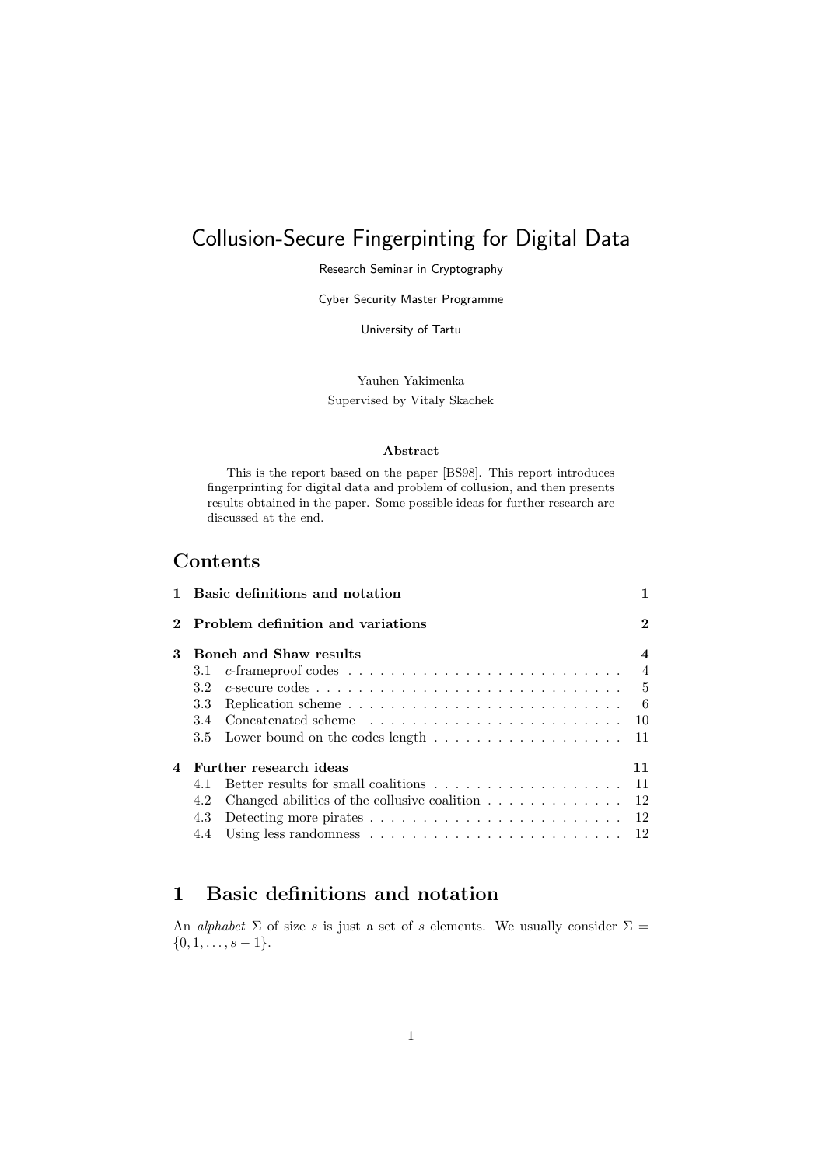# Collusion-Secure Fingerpinting for Digital Data

Research Seminar in Cryptography

Cyber Security Master Programme

University of Tartu

Yauhen Yakimenka Supervised by Vitaly Skachek

#### Abstract

This is the report based on the paper [\[BS98\]](#page-11-0). This report introduces fingerprinting for digital data and problem of collusion, and then presents results obtained in the paper. Some possible ideas for further research are discussed at the end.

## Contents

|   |                              | 1 Basic definitions and notation                                                      |          |
|---|------------------------------|---------------------------------------------------------------------------------------|----------|
|   |                              | 2 Problem definition and variations                                                   | $\bf{2}$ |
| 3 | Boneh and Shaw results       |                                                                                       |          |
|   |                              |                                                                                       |          |
|   | 3.2                          |                                                                                       |          |
|   | 3.3                          | Replication scheme $\ldots \ldots \ldots \ldots \ldots \ldots \ldots \ldots \ldots 6$ |          |
|   |                              |                                                                                       |          |
|   |                              | 3.5 Lower bound on the codes length $\ldots$ 11                                       |          |
| 4 | Further research ideas<br>11 |                                                                                       |          |
|   | 4.1                          | Better results for small coalitions $\ldots \ldots \ldots \ldots \ldots \ldots 11$    |          |
|   | 4.2                          | Changed abilities of the collusive coalition $\dots \dots \dots \dots \dots$ 12       |          |
|   | 4.3                          | Detecting more pirates $\ldots \ldots \ldots \ldots \ldots \ldots \ldots \ldots 12$   |          |
|   |                              |                                                                                       |          |

## <span id="page-0-0"></span>1 Basic definitions and notation

An *alphabet*  $\Sigma$  of size s is just a set of s elements. We usually consider  $\Sigma$  =  $\{0, 1, \ldots, s-1\}.$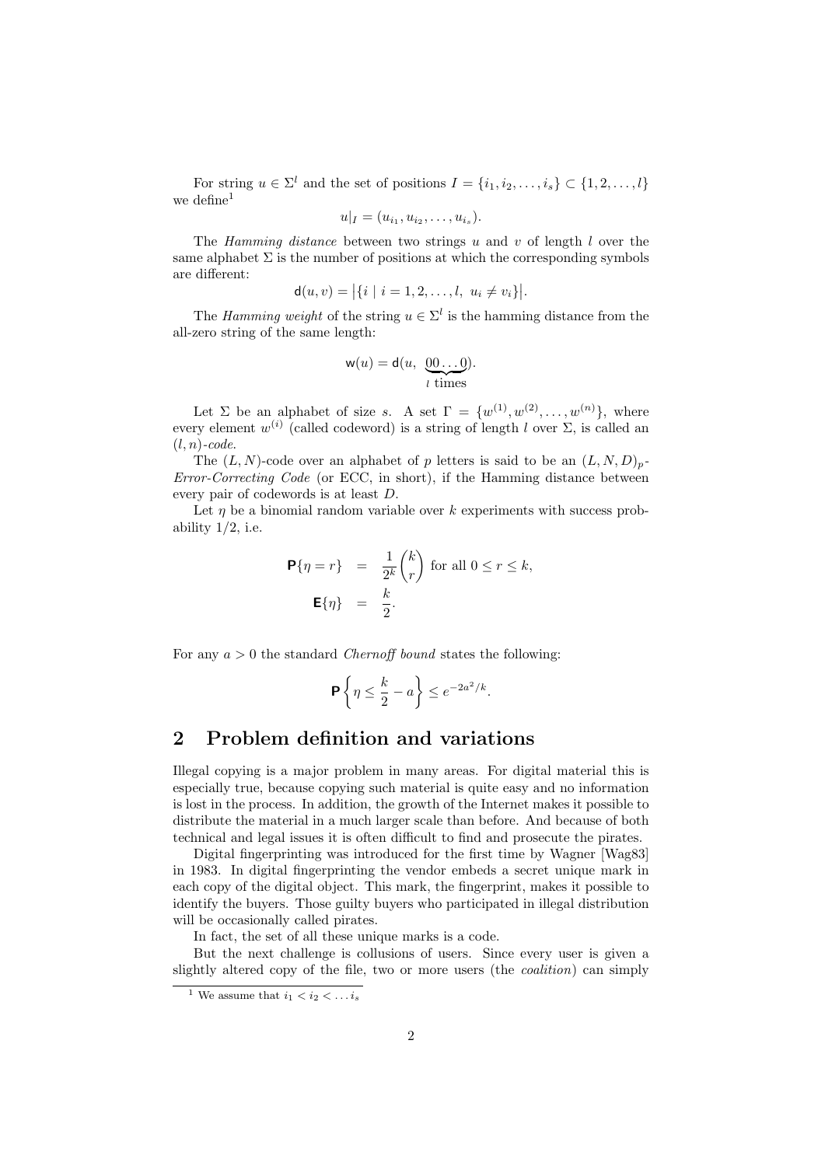For string  $u \in \Sigma^l$  and the set of positions  $I = \{i_1, i_2, \ldots, i_s\} \subset \{1, 2, \ldots, l\}$ we define<sup>[1](#page-1-1)</sup>

$$
u|_I = (u_{i_1}, u_{i_2}, \dots, u_{i_s}).
$$

The Hamming distance between two strings u and v of length  $l$  over the same alphabet  $\Sigma$  is the number of positions at which the corresponding symbols are different:

$$
\mathsf{d}(u,v) = |\{i \mid i = 1,2,\ldots,l,\ u_i \neq v_i\}|.
$$

The Hamming weight of the string  $u \in \Sigma^l$  is the hamming distance from the all-zero string of the same length:

$$
\mathsf{w}(u) = \mathsf{d}(u, \underbrace{00\dots0}_{l \text{ times}}).
$$

Let  $\Sigma$  be an alphabet of size s. A set  $\Gamma = \{w^{(1)}, w^{(2)}, \ldots, w^{(n)}\},\$  where every element  $w^{(i)}$  (called codeword) is a string of length l over  $\Sigma$ , is called an  $(l, n)$ -code.

The  $(L, N)$ -code over an alphabet of p letters is said to be an  $(L, N, D)_p$ -Error-Correcting Code (or ECC, in short), if the Hamming distance between every pair of codewords is at least D.

Let  $\eta$  be a binomial random variable over k experiments with success probability  $1/2$ , i.e.

$$
\mathbf{P}\{\eta = r\} = \frac{1}{2^k} \binom{k}{r} \text{ for all } 0 \le r \le k,
$$

$$
\mathbf{E}\{\eta\} = \frac{k}{2}.
$$

For any  $a > 0$  the standard *Chernoff bound* states the following:

$$
\mathbf{P}\left\{\eta \leq \frac{k}{2} - a\right\} \leq e^{-2a^2/k}.
$$

## <span id="page-1-0"></span>2 Problem definition and variations

Illegal copying is a major problem in many areas. For digital material this is especially true, because copying such material is quite easy and no information is lost in the process. In addition, the growth of the Internet makes it possible to distribute the material in a much larger scale than before. And because of both technical and legal issues it is often difficult to find and prosecute the pirates.

Digital fingerprinting was introduced for the first time by Wagner [\[Wag83\]](#page-12-0) in 1983. In digital fingerprinting the vendor embeds a secret unique mark in each copy of the digital object. This mark, the fingerprint, makes it possible to identify the buyers. Those guilty buyers who participated in illegal distribution will be occasionally called pirates.

In fact, the set of all these unique marks is a code.

But the next challenge is collusions of users. Since every user is given a slightly altered copy of the file, two or more users (the coalition) can simply

<span id="page-1-1"></span><sup>&</sup>lt;sup>1</sup> We assume that  $i_1 < i_2 < \ldots i_s$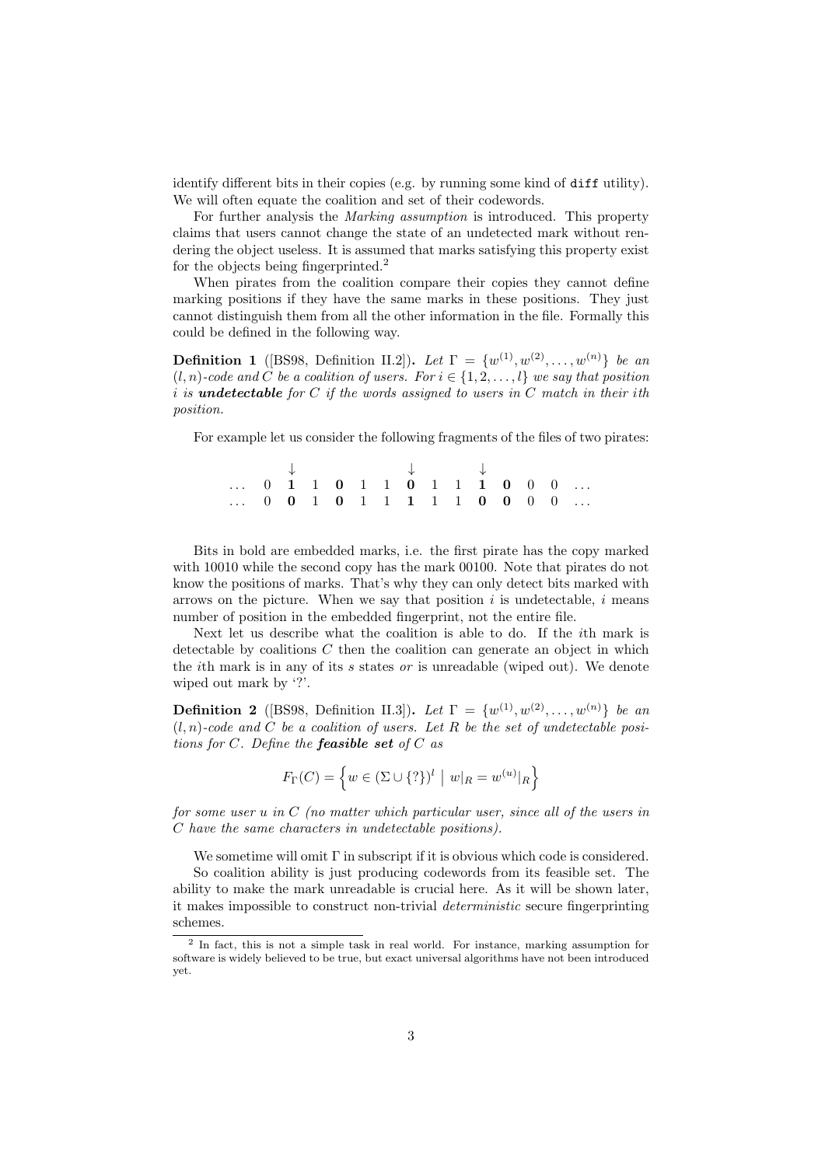identify different bits in their copies (e.g. by running some kind of diff utility). We will often equate the coalition and set of their codewords.

For further analysis the Marking assumption is introduced. This property claims that users cannot change the state of an undetected mark without rendering the object useless. It is assumed that marks satisfying this property exist for the objects being fingerprinted.<sup>[2](#page-2-0)</sup>

When pirates from the coalition compare their copies they cannot define marking positions if they have the same marks in these positions. They just cannot distinguish them from all the other information in the file. Formally this could be defined in the following way.

**Definition 1** ([\[BS98,](#page-11-0) Definition II.2]). Let  $\Gamma = \{w^{(1)}, w^{(2)}, \ldots, w^{(n)}\}$  be an  $(l, n)$ -code and C be a coalition of users. For  $i \in \{1, 2, \ldots, l\}$  we say that position  $i$  is undetectable for  $C$  if the words assigned to users in  $C$  match in their ith position.

For example let us consider the following fragments of the files of two pirates:

↓ ↓ ↓ ...  $0 \quad 1 \quad 1 \quad 0 \quad 1 \quad 1 \quad 0 \quad 1 \quad 1 \quad 1 \quad 0 \quad 0 \quad 0 \quad \ldots$ ...  $0 \t0 \t1 \t0 \t1 \t1 \t1 \t1 \t0 \t0 \t0 \t...$ 

Bits in bold are embedded marks, i.e. the first pirate has the copy marked with 10010 while the second copy has the mark 00100. Note that pirates do not know the positions of marks. That's why they can only detect bits marked with arrows on the picture. When we say that position  $i$  is undetectable,  $i$  means number of position in the embedded fingerprint, not the entire file.

Next let us describe what the coalition is able to do. If the ith mark is detectable by coalitions  $C$  then the coalition can generate an object in which the *i*th mark is in any of its s states or is unreadable (wiped out). We denote wiped out mark by '?'.

**Definition 2** ([\[BS98,](#page-11-0) Definition II.3]). Let  $\Gamma = \{w^{(1)}, w^{(2)}, \ldots, w^{(n)}\}$  be an  $(l, n)$ -code and C be a coalition of users. Let R be the set of undetectable positions for  $C$ . Define the **feasible set** of  $C$  as

$$
F_{\Gamma}(C) = \left\{ w \in (\Sigma \cup \{? \})^l \mid w|_{R} = w^{(u)}|_{R} \right\}
$$

for some user u in  $C$  (no matter which particular user, since all of the users in C have the same characters in undetectable positions).

We sometime will omit  $\Gamma$  in subscript if it is obvious which code is considered.

So coalition ability is just producing codewords from its feasible set. The ability to make the mark unreadable is crucial here. As it will be shown later, it makes impossible to construct non-trivial deterministic secure fingerprinting schemes.

<span id="page-2-0"></span><sup>2</sup> In fact, this is not a simple task in real world. For instance, marking assumption for software is widely believed to be true, but exact universal algorithms have not been introduced yet.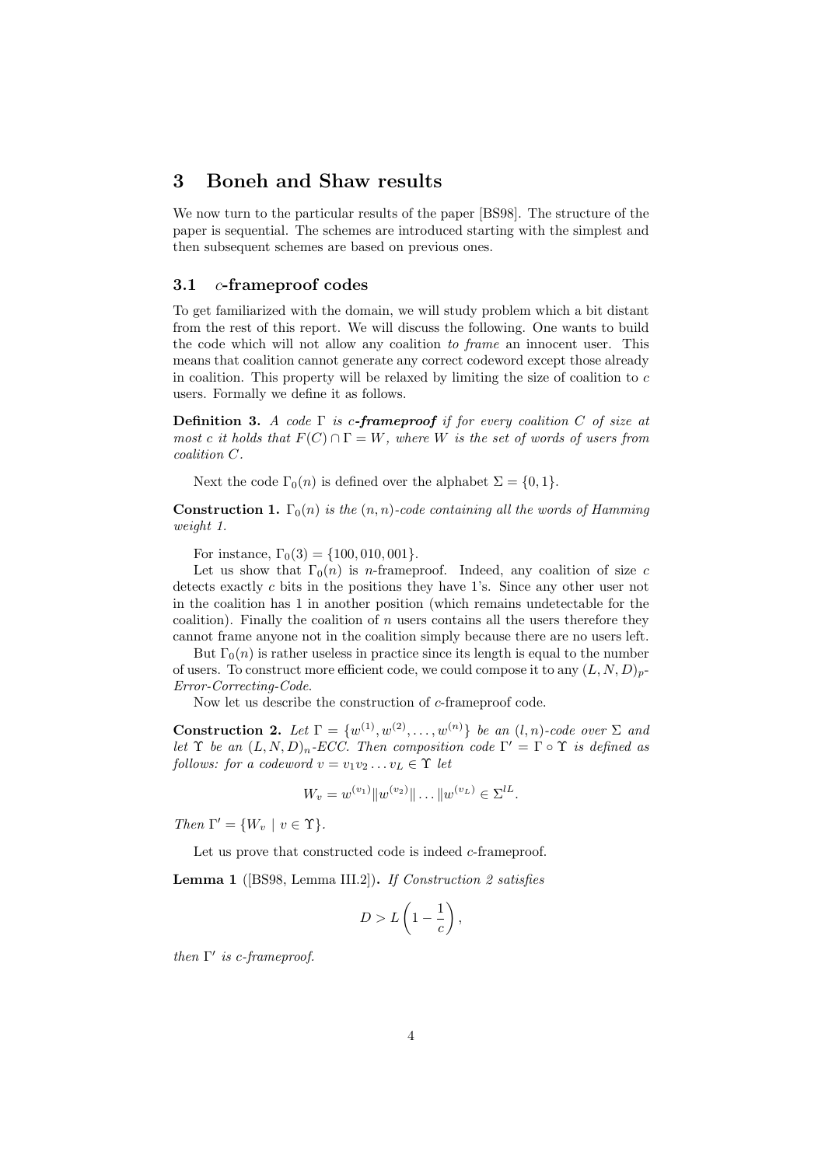## <span id="page-3-0"></span>3 Boneh and Shaw results

We now turn to the particular results of the paper [\[BS98\]](#page-11-0). The structure of the paper is sequential. The schemes are introduced starting with the simplest and then subsequent schemes are based on previous ones.

#### <span id="page-3-1"></span>3.1 c-frameproof codes

To get familiarized with the domain, we will study problem which a bit distant from the rest of this report. We will discuss the following. One wants to build the code which will not allow any coalition to frame an innocent user. This means that coalition cannot generate any correct codeword except those already in coalition. This property will be relaxed by limiting the size of coalition to c users. Formally we define it as follows.

**Definition 3.** A code  $\Gamma$  is c-frameproof if for every coalition C of size at most c it holds that  $F(C) \cap \Gamma = W$ , where W is the set of words of users from coalition C.

Next the code  $\Gamma_0(n)$  is defined over the alphabet  $\Sigma = \{0, 1\}.$ 

**Construction 1.**  $\Gamma_0(n)$  is the  $(n, n)$ -code containing all the words of Hamming weight 1.

For instance,  $\Gamma_0(3) = \{100, 010, 001\}.$ 

Let us show that  $\Gamma_0(n)$  is *n*-frameproof. Indeed, any coalition of size c detects exactly c bits in the positions they have 1's. Since any other user not in the coalition has 1 in another position (which remains undetectable for the coalition). Finally the coalition of  $n$  users contains all the users therefore they cannot frame anyone not in the coalition simply because there are no users left.

But  $\Gamma_0(n)$  is rather useless in practice since its length is equal to the number of users. To construct more efficient code, we could compose it to any  $(L, N, D)_p$ -Error-Correcting-Code.

Now let us describe the construction of c-frameproof code.

<span id="page-3-2"></span>**Construction 2.** Let  $\Gamma = \{w^{(1)}, w^{(2)}, \ldots, w^{(n)}\}$  be an  $(l, n)$ -code over  $\Sigma$  and let  $\Upsilon$  be an  $(L, N, D)_n$ -ECC. Then composition code  $\Gamma' = \Gamma \circ \Upsilon$  is defined as follows: for a codeword  $v = v_1v_2 \ldots v_L \in \Upsilon$  let

$$
W_v = w^{(v_1)} \|w^{(v_2)}\| \dots \|w^{(v_L)} \in \Sigma^{lL}.
$$

Then  $\Gamma' = \{W_v \mid v \in \Upsilon\}.$ 

Let us prove that constructed code is indeed *c*-frameproof.

<span id="page-3-3"></span>Lemma 1 ([\[BS98,](#page-11-0) Lemma III.2]). If Construction [2](#page-3-2) satisfies

$$
D > L\left(1 - \frac{1}{c}\right),
$$

then  $\Gamma'$  is c-frameproof.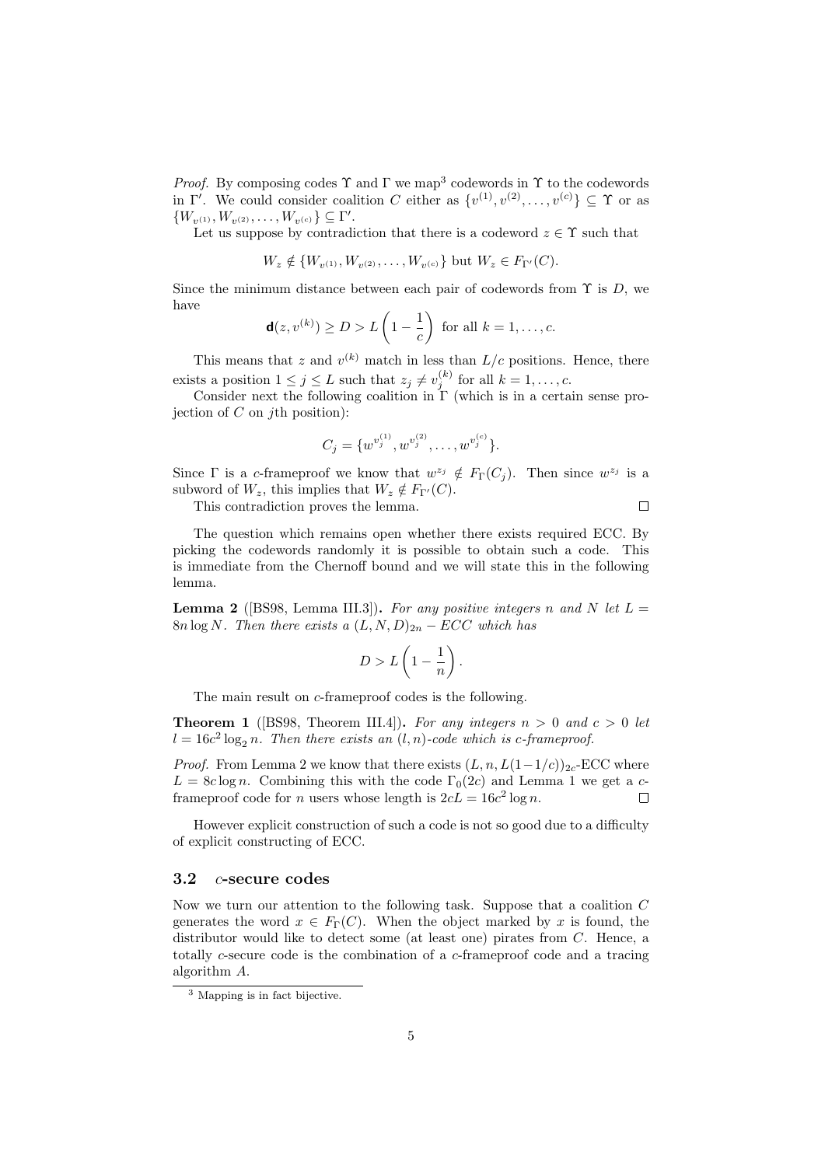*Proof.* By composing codes  $\Upsilon$  and  $\Gamma$  we map<sup>[3](#page-4-1)</sup> codewords in  $\Upsilon$  to the codewords in  $\Gamma'$ . We could consider coalition C either as  $\{v^{(1)}, v^{(2)}, \ldots, v^{(c)}\} \subseteq \Upsilon$  or as  $\{W_{v^{(1)}}, W_{v^{(2)}}, \ldots, W_{v^{(c)}}\} \subseteq \Gamma'.$ 

Let us suppose by contradiction that there is a codeword  $z \in \Upsilon$  such that

 $W_z \notin \{W_{v^{(1)}}, W_{v^{(2)}}, \dots, W_{v^{(c)}}\}$  but  $W_z \in F_{\Gamma'}(C)$ .

Since the minimum distance between each pair of codewords from  $\Upsilon$  is D, we have

$$
\mathbf{d}(z, v^{(k)}) \ge D > L\left(1 - \frac{1}{c}\right) \text{ for all } k = 1, \dots, c.
$$

This means that z and  $v^{(k)}$  match in less than  $L/c$  positions. Hence, there exists a position  $1 \leq j \leq L$  such that  $z_j \neq v_j^{(k)}$  for all  $k = 1, \ldots, c$ .

Consider next the following coalition in  $\Gamma$  (which is in a certain sense projection of  $C$  on *j*th position):

$$
C_j = \{w^{v_j^{(1)}}, w^{v_j^{(2)}}, \dots, w^{v_j^{(c)}}\}.
$$

Since  $\Gamma$  is a c-frameproof we know that  $w^{z_j} \notin F_{\Gamma}(C_j)$ . Then since  $w^{z_j}$  is a subword of  $W_z$ , this implies that  $W_z \notin F_{\Gamma'}(C)$ .

This contradiction proves the lemma.

 $\Box$ 

The question which remains open whether there exists required ECC. By picking the codewords randomly it is possible to obtain such a code. This is immediate from the Chernoff bound and we will state this in the following lemma.

<span id="page-4-2"></span>**Lemma 2** ([\[BS98,](#page-11-0) Lemma III.3]). For any positive integers n and N let  $L =$ 8n log N. Then there exists a  $(L, N, D)_{2n}$  – ECC which has

$$
D > L\left(1 - \frac{1}{n}\right).
$$

The main result on c-frameproof codes is the following.

**Theorem 1** ([\[BS98,](#page-11-0) Theorem III.4]). For any integers  $n > 0$  and  $c > 0$  let  $l = 16c^2 \log_2 n$ . Then there exists an  $(l, n)$ -code which is c-frameproof.

*Proof.* From Lemma [2](#page-4-2) we know that there exists  $(L, n, L(1-1/c))_{2c}$ -ECC where  $L = 8c \log n$ . Combining this with the code  $\Gamma_0(2c)$  and Lemma [1](#page-3-3) we get a cframeproof code for *n* users whose length is  $2cL = 16c^2 \log n$ .  $\Box$ 

However explicit construction of such a code is not so good due to a difficulty of explicit constructing of ECC.

#### <span id="page-4-0"></span>3.2 c-secure codes

Now we turn our attention to the following task. Suppose that a coalition C generates the word  $x \in F_{\Gamma}(C)$ . When the object marked by x is found, the distributor would like to detect some (at least one) pirates from C. Hence, a totally c-secure code is the combination of a c-frameproof code and a tracing algorithm A.

<span id="page-4-1"></span><sup>3</sup> Mapping is in fact bijective.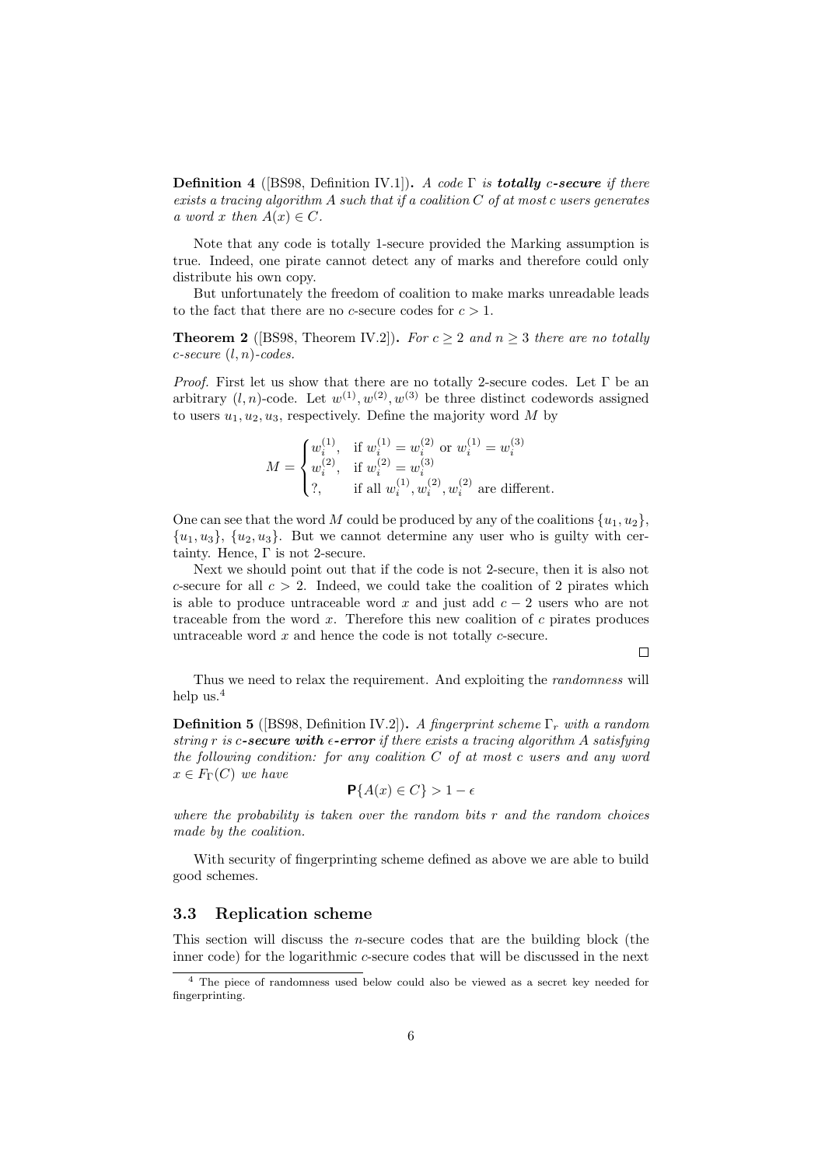**Definition 4** ([\[BS98,](#page-11-0) Definition IV.1]). A code  $\Gamma$  is **totally** c-secure if there exists a tracing algorithm A such that if a coalition  $C$  of at most c users generates a word x then  $A(x) \in C$ .

Note that any code is totally 1-secure provided the Marking assumption is true. Indeed, one pirate cannot detect any of marks and therefore could only distribute his own copy.

But unfortunately the freedom of coalition to make marks unreadable leads to the fact that there are no c-secure codes for  $c > 1$ .

**Theorem 2** ([\[BS98,](#page-11-0) Theorem IV.2]). For  $c \geq 2$  and  $n \geq 3$  there are no totally  $c\text{-}secure (l, n)\text{-}codes.$ 

*Proof.* First let us show that there are no totally 2-secure codes. Let  $\Gamma$  be an arbitrary  $(l, n)$ -code. Let  $w^{(1)}, w^{(2)}, w^{(3)}$  be three distinct codewords assigned to users  $u_1, u_2, u_3$ , respectively. Define the majority word M by

$$
M = \begin{cases} w_i^{(1)}, & \text{if } w_i^{(1)} = w_i^{(2)} \text{ or } w_i^{(1)} = w_i^{(3)} \\ w_i^{(2)}, & \text{if } w_i^{(2)} = w_i^{(3)} \\ ?, & \text{if all } w_i^{(1)}, w_i^{(2)}, w_i^{(2)} \text{ are different.} \end{cases}
$$

One can see that the word M could be produced by any of the coalitions  $\{u_1, u_2\}$ ,  ${u_1, u_3}, {u_2, u_3}.$  But we cannot determine any user who is guilty with certainty. Hence,  $\Gamma$  is not 2-secure.

Next we should point out that if the code is not 2-secure, then it is also not c-secure for all  $c > 2$ . Indeed, we could take the coalition of 2 pirates which is able to produce untraceable word x and just add  $c - 2$  users who are not traceable from the word  $x$ . Therefore this new coalition of  $c$  pirates produces untraceable word  $x$  and hence the code is not totally  $c$ -secure.

 $\Box$ 

Thus we need to relax the requirement. And exploiting the *randomness* will help us.[4](#page-5-1)

**Definition 5** ([\[BS98,](#page-11-0) Definition IV.2]). A fingerprint scheme  $\Gamma_r$  with a random string r is c-secure with  $\epsilon$ -error if there exists a tracing algorithm A satisfying the following condition: for any coalition  $C$  of at most c users and any word  $x \in F_{\Gamma}(C)$  we have

$$
\mathbf{P}\{A(x) \in C\} > 1 - \epsilon
$$

where the probability is taken over the random bits  $r$  and the random choices made by the coalition.

With security of fingerprinting scheme defined as above we are able to build good schemes.

#### <span id="page-5-0"></span>3.3 Replication scheme

This section will discuss the n-secure codes that are the building block (the inner code) for the logarithmic c-secure codes that will be discussed in the next

<span id="page-5-1"></span><sup>4</sup> The piece of randomness used below could also be viewed as a secret key needed for fingerprinting.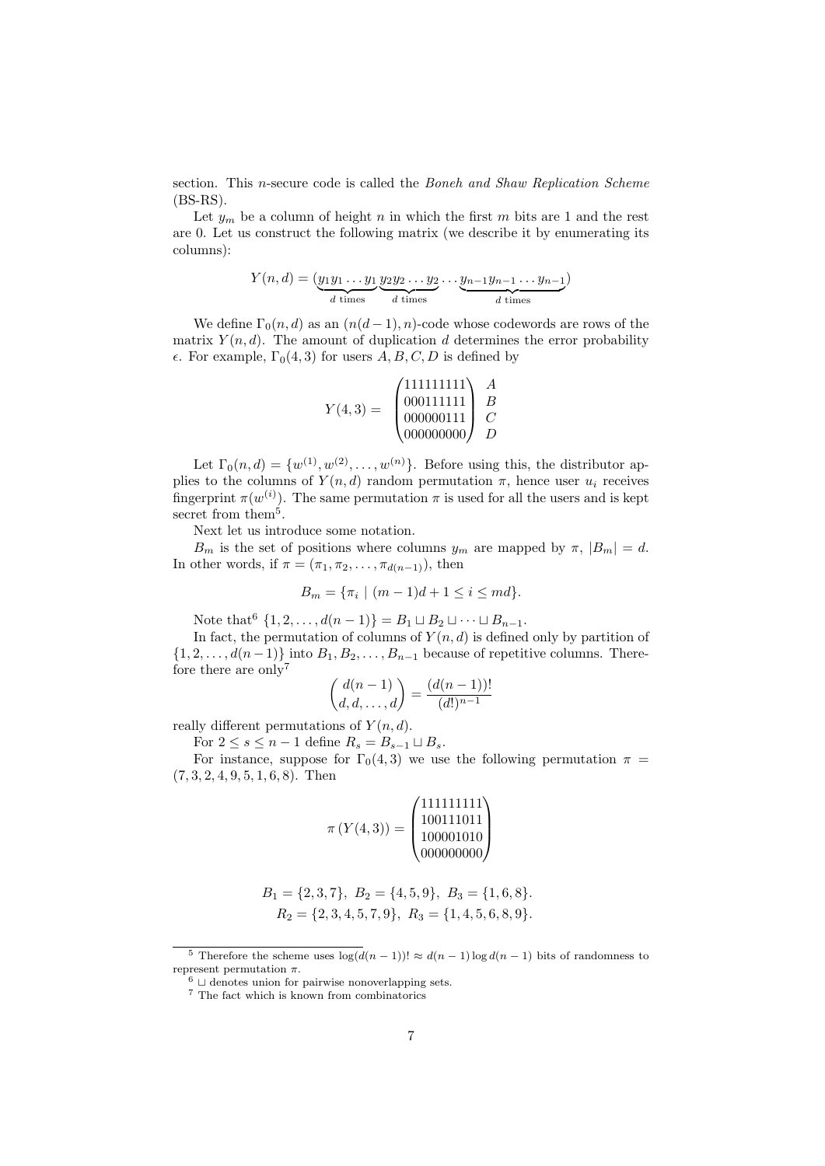section. This *n*-secure code is called the *Boneh and Shaw Replication Scheme*  $(BS-RS).$ 

Let  $y_m$  be a column of height n in which the first m bits are 1 and the rest are 0. Let us construct the following matrix (we describe it by enumerating its columns):

$$
Y(n,d) = (\underbrace{y_1 y_1 \dots y_1}_{d \text{ times}} \underbrace{y_2 y_2 \dots y_2}_{d \text{ times}} \dots \underbrace{y_{n-1} y_{n-1} \dots y_{n-1}}_{d \text{ times}})
$$

We define  $\Gamma_0(n, d)$  as an  $(n(d-1), n)$ -code whose codewords are rows of the matrix  $Y(n, d)$ . The amount of duplication d determines the error probability  $\epsilon$ . For example,  $\Gamma_0(4,3)$  for users  $A, B, C, D$  is defined by

Y (4, 3) = 111111111 000111111 000000111 000000000 A B C D

Let  $\Gamma_0(n, d) = \{w^{(1)}, w^{(2)}, \dots, w^{(n)}\}$ . Before using this, the distributor applies to the columns of  $Y(n, d)$  random permutation  $\pi$ , hence user  $u_i$  receives fingerprint  $\pi(w^{(i)})$ . The same permutation  $\pi$  is used for all the users and is kept secret from them<sup>[5](#page-6-0)</sup>.

Next let us introduce some notation.

 $B_m$  is the set of positions where columns  $y_m$  are mapped by  $\pi$ ,  $|B_m| = d$ . In other words, if  $\pi = (\pi_1, \pi_2, \ldots, \pi_{d(n-1)})$ , then

$$
B_m = \{\pi_i \mid (m-1)d + 1 \le i \le md\}.
$$

Note that  $\{1, 2, ..., d(n-1)\} = B_1 \sqcup B_2 \sqcup \cdots \sqcup B_{n-1}.$ 

In fact, the permutation of columns of  $Y(n, d)$  is defined only by partition of  $\{1, 2, \ldots, d(n-1)\}\$  into  $B_1, B_2, \ldots, B_{n-1}$  because of repetitive columns. There-fore there are only<sup>[7](#page-6-2)</sup>

$$
\binom{d(n-1)}{d,d,\ldots,d} = \frac{(d(n-1))!}{(d!)^{n-1}}
$$

really different permutations of  $Y(n, d)$ .

For  $2 \leq s \leq n-1$  define  $R_s = B_{s-1} \sqcup B_s$ .

For instance, suppose for  $\Gamma_0(4,3)$  we use the following permutation  $\pi =$  $(7, 3, 2, 4, 9, 5, 1, 6, 8)$ . Then

π (Y (4, 3)) = 111111111 100111011 100001010 000000000 

$$
B_1 = \{2, 3, 7\}, B_2 = \{4, 5, 9\}, B_3 = \{1, 6, 8\}.
$$
  

$$
R_2 = \{2, 3, 4, 5, 7, 9\}, R_3 = \{1, 4, 5, 6, 8, 9\}.
$$

<span id="page-6-0"></span><sup>&</sup>lt;sup>5</sup> Therefore the scheme uses  $\log(d(n-1)) \approx d(n-1) \log d(n-1)$  bits of randomness to represent permutation  $\pi$ .

<span id="page-6-1"></span> $6 \cup$  denotes union for pairwise nonoverlapping sets.

<span id="page-6-2"></span><sup>&</sup>lt;sup>7</sup> The fact which is known from combinatorics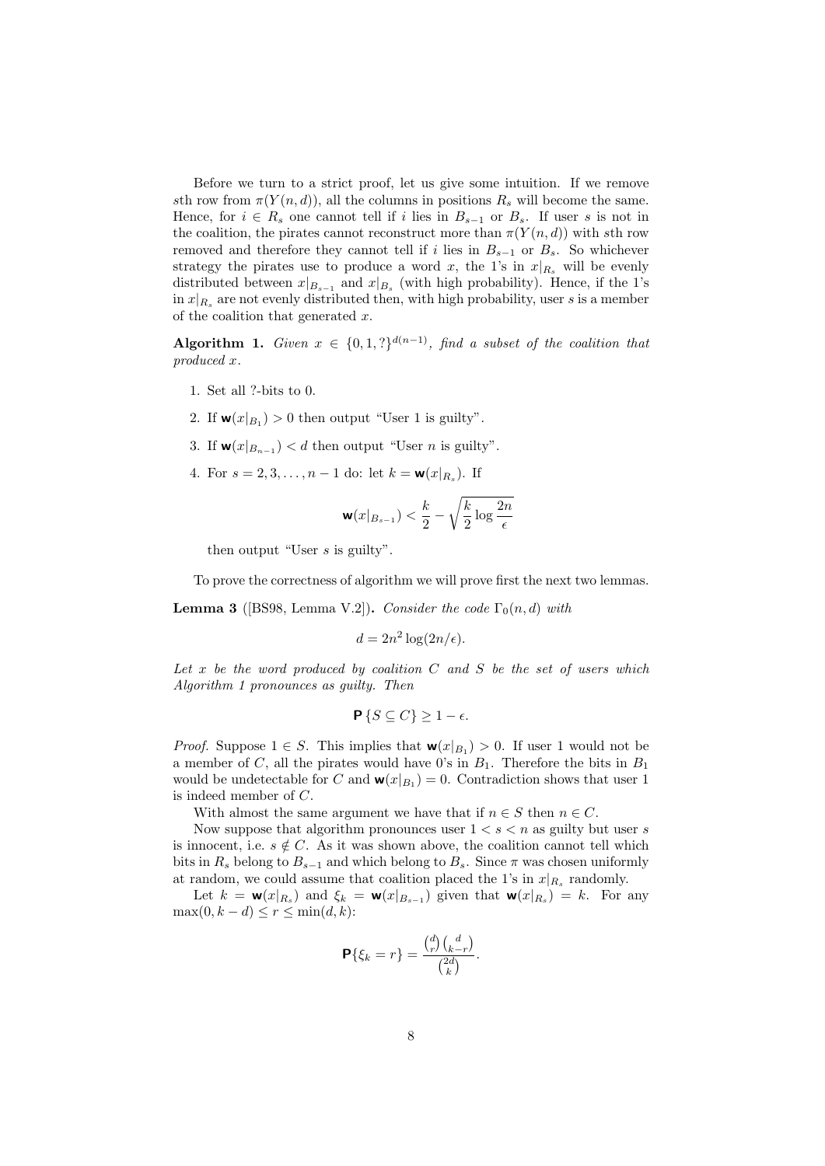Before we turn to a strict proof, let us give some intuition. If we remove sth row from  $\pi(Y(n, d))$ , all the columns in positions  $R_s$  will become the same. Hence, for  $i \in R_s$  one cannot tell if i lies in  $B_{s-1}$  or  $B_s$ . If user s is not in the coalition, the pirates cannot reconstruct more than  $\pi(Y(n,d))$  with sth row removed and therefore they cannot tell if i lies in  $B_{s-1}$  or  $B_s$ . So whichever strategy the pirates use to produce a word x, the 1's in  $x|_{R_s}$  will be evenly distributed between  $x|_{B_{s-1}}$  and  $x|_{B_s}$  (with high probability). Hence, if the 1's  $\inf x|_{R_s}$  are not evenly distributed then, with high probability, user s is a member of the coalition that generated  $x$ .

<span id="page-7-0"></span>Algorithm 1. Given  $x \in \{0,1,?\}^{d(n-1)}$ , find a subset of the coalition that produced x.

- 1. Set all ?-bits to 0.
- 2. If  $\mathbf{w}(x|_{B_1}) > 0$  then output "User 1 is guilty".
- 3. If  $\mathbf{w}(x|_{B_{n-1}}) < d$  then output "User *n* is guilty".
- 4. For  $s = 2, 3, ..., n 1$  do: let  $k = \mathbf{w}(x|_{R_s})$ . If

$$
\mathbf{w}(x|_{B_{s-1}}) < \frac{k}{2} - \sqrt{\frac{k}{2} \log \frac{2n}{\epsilon}}
$$

then output "User s is guilty".

To prove the correctness of algorithm we will prove first the next two lemmas.

<span id="page-7-1"></span>**Lemma 3** ([\[BS98,](#page-11-0) Lemma V.2]). Consider the code  $\Gamma_0(n, d)$  with

$$
d = 2n^2 \log(2n/\epsilon).
$$

Let  $x$  be the word produced by coalition  $C$  and  $S$  be the set of users which Algorithm [1](#page-7-0) pronounces as guilty. Then

$$
\mathbf{P}\left\{S\subseteq C\right\}\geq 1-\epsilon.
$$

*Proof.* Suppose  $1 \in S$ . This implies that  $\mathbf{w}(x|_{B_1}) > 0$ . If user 1 would not be a member of C, all the pirates would have 0's in  $B_1$ . Therefore the bits in  $B_1$ would be undetectable for C and  $\mathbf{w}(x|_{B_1}) = 0$ . Contradiction shows that user 1 is indeed member of C.

With almost the same argument we have that if  $n \in S$  then  $n \in C$ .

Now suppose that algorithm pronounces user  $1 < s < n$  as guilty but user s is innocent, i.e.  $s \notin C$ . As it was shown above, the coalition cannot tell which bits in  $R_s$  belong to  $B_{s-1}$  and which belong to  $B_s$ . Since  $\pi$  was chosen uniformly at random, we could assume that coalition placed the 1's in  $x|_{R_s}$  randomly.

Let  $k = \mathbf{w}(x|_{R_s})$  and  $\xi_k = \mathbf{w}(x|_{B_{s-1}})$  given that  $\mathbf{w}(x|_{R_s}) = k$ . For any  $\max(0, k - d) \leq r \leq \min(d, k)$ :

$$
\mathbf{P}\{\xi_k = r\} = \frac{\binom{d}{r}\binom{d}{k-r}}{\binom{2d}{k}}.
$$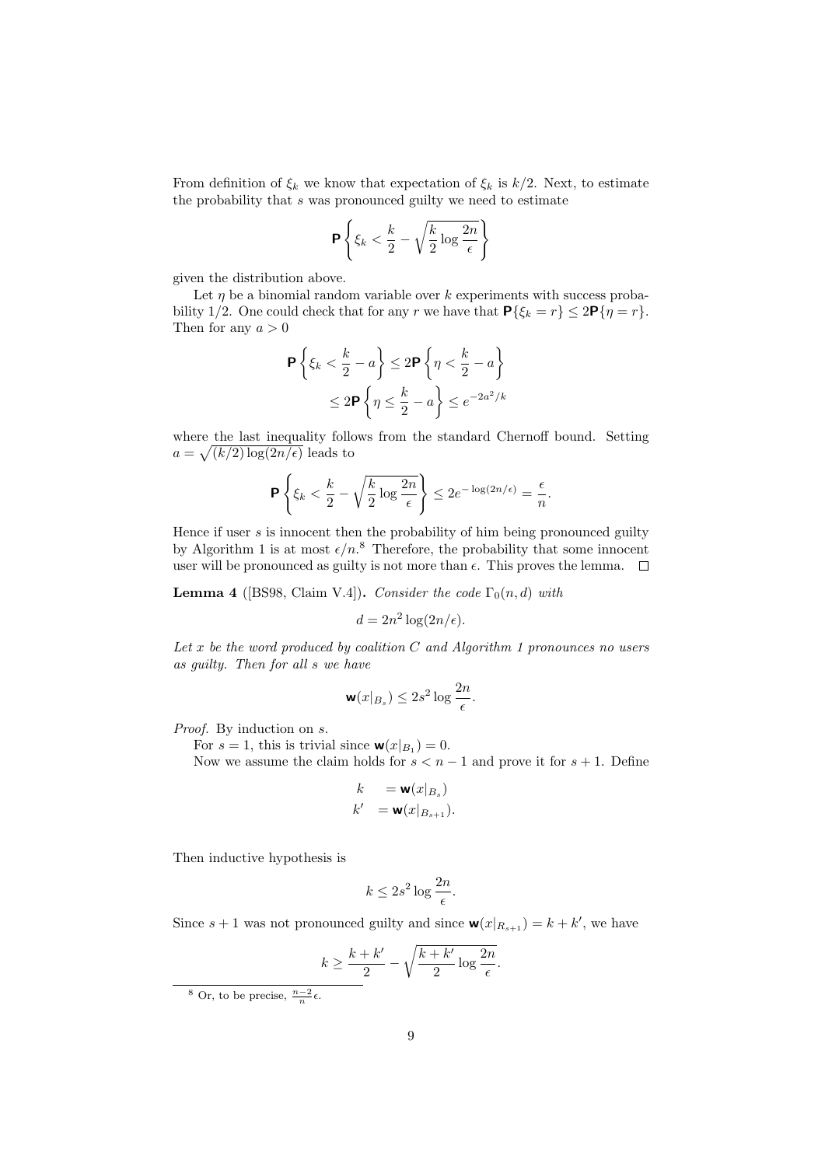From definition of  $\xi_k$  we know that expectation of  $\xi_k$  is  $k/2$ . Next, to estimate the probability that s was pronounced guilty we need to estimate

$$
\mathbf{P}\left\{\xi_k < \frac{k}{2} - \sqrt{\frac{k}{2}\log\frac{2n}{\epsilon}}\right\}
$$

given the distribution above.

Let  $\eta$  be a binomial random variable over k experiments with success probability 1/2. One could check that for any r we have that  $P\{\xi_k = r\} \leq 2P\{\eta = r\}.$ Then for any  $a > 0$ 

$$
\mathbf{P}\left\{\xi_k < \frac{k}{2} - a\right\} \le 2\mathbf{P}\left\{\eta < \frac{k}{2} - a\right\}
$$
\n
$$
\le 2\mathbf{P}\left\{\eta \le \frac{k}{2} - a\right\} \le e^{-2a^2/k}
$$

where the last inequality follows from the standard Chernoff bound. Setting  $a = \sqrt{(k/2) \log(2n/\epsilon)}$  leads to

$$
\mathbf{P}\left\{\xi_k < \frac{k}{2} - \sqrt{\frac{k}{2}\log\frac{2n}{\epsilon}}\right\} \le 2e^{-\log(2n/\epsilon)} = \frac{\epsilon}{n}.
$$

Hence if user  $s$  is innocent then the probability of him being pronounced guilty by Algorithm [1](#page-7-0) is at most  $\epsilon/n$ .<sup>[8](#page-8-0)</sup> Therefore, the probability that some innocent user will be pronounced as guilty is not more than  $\epsilon$ . This proves the lemma.  $\Box$ 

<span id="page-8-1"></span>**Lemma 4** ([\[BS98,](#page-11-0) Claim V.4]). Consider the code  $\Gamma_0(n, d)$  with

$$
d = 2n^2 \log(2n/\epsilon).
$$

Let x be the word produced by coalition  $C$  and Algorithm [1](#page-7-0) pronounces no users as guilty. Then for all s we have

$$
\mathbf{w}(x|_{B_s}) \le 2s^2 \log \frac{2n}{\epsilon}.
$$

Proof. By induction on  $s$ .

For  $s = 1$ , this is trivial since  $\mathbf{w}(x|_{B_1}) = 0$ .

Now we assume the claim holds for  $s < n - 1$  and prove it for  $s + 1$ . Define

$$
k = \mathbf{w}(x|_{B_s})
$$
  

$$
k' = \mathbf{w}(x|_{B_{s+1}}).
$$

Then inductive hypothesis is

$$
k \le 2s^2 \log \frac{2n}{\epsilon}.
$$

Since  $s + 1$  was not pronounced guilty and since  $\mathbf{w}(x|_{R_{s+1}}) = k + k'$ , we have

$$
k \ge \frac{k+k'}{2} - \sqrt{\frac{k+k'}{2} \log \frac{2n}{\epsilon}}.
$$

<span id="page-8-0"></span><sup>&</sup>lt;sup>8</sup> Or, to be precise,  $\frac{n-2}{n}\epsilon$ .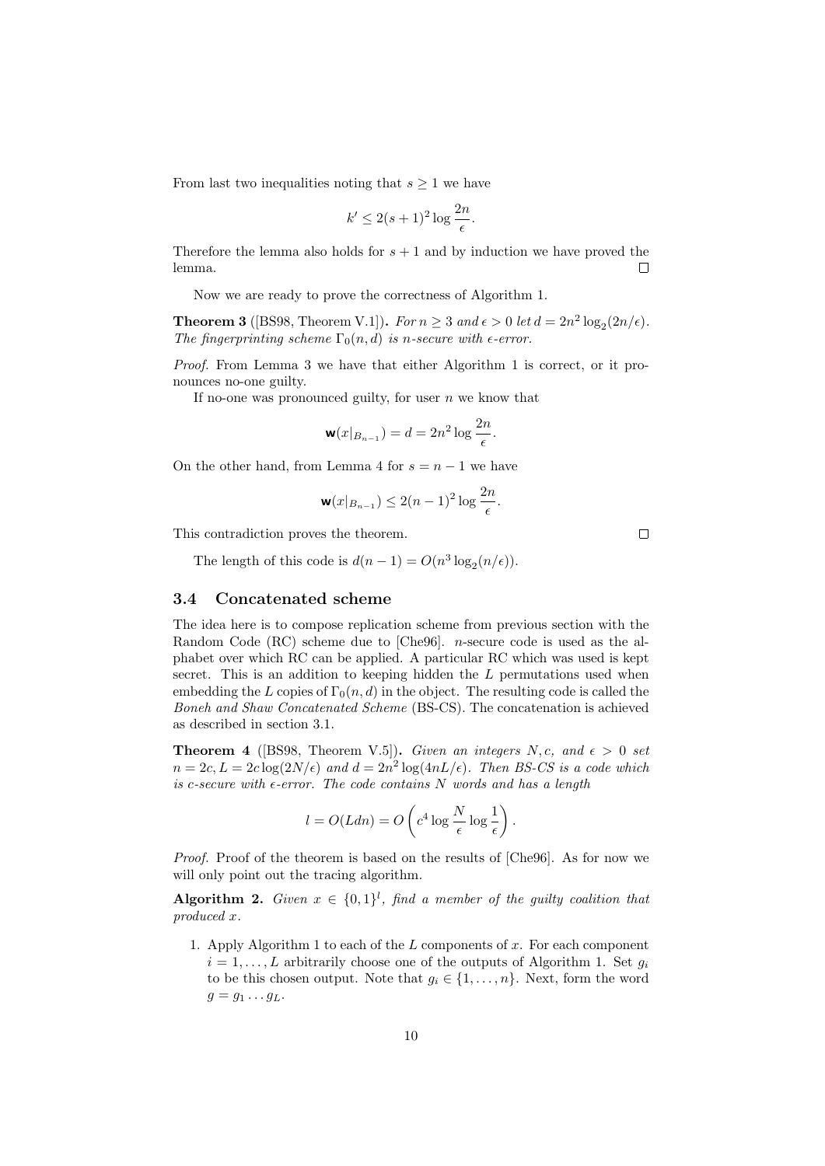From last two inequalities noting that  $s \geq 1$  we have

$$
k' \le 2(s+1)^2 \log \frac{2n}{\epsilon}.
$$

Therefore the lemma also holds for  $s + 1$  and by induction we have proved the lemma.  $\Box$ 

Now we are ready to prove the correctness of Algorithm [1.](#page-7-0)

**Theorem 3** ([\[BS98,](#page-11-0) Theorem V.1]). For  $n \geq 3$  and  $\epsilon > 0$  let  $d = 2n^2 \log_2(2n/\epsilon)$ . The fingerprinting scheme  $\Gamma_0(n, d)$  is n-secure with  $\epsilon$ -error.

Proof. From Lemma [3](#page-7-1) we have that either Algorithm [1](#page-7-0) is correct, or it pronounces no-one guilty.

If no-one was pronounced guilty, for user  $n$  we know that

$$
\mathbf{w}(x|_{B_{n-1}}) = d = 2n^2 \log \frac{2n}{\epsilon}.
$$

On the other hand, from Lemma [4](#page-8-1) for  $s = n - 1$  we have

$$
\mathbf{w}(x|_{B_{n-1}}) \le 2(n-1)^2 \log \frac{2n}{\epsilon}.
$$

This contradiction proves the theorem.

The length of this code is  $d(n-1) = O(n^3 \log_2(n/\epsilon)).$ 

#### <span id="page-9-0"></span>3.4 Concatenated scheme

The idea here is to compose replication scheme from previous section with the Random Code (RC) scheme due to [\[Che96\]](#page-11-4). n-secure code is used as the alphabet over which RC can be applied. A particular RC which was used is kept secret. This is an addition to keeping hidden the L permutations used when embedding the L copies of  $\Gamma_0(n, d)$  in the object. The resulting code is called the Boneh and Shaw Concatenated Scheme (BS-CS). The concatenation is achieved as described in section [3.1.](#page-3-1)

**Theorem 4** ([\[BS98,](#page-11-0) Theorem V.5]). Given an integers N, c, and  $\epsilon > 0$  set  $n = 2c, L = 2c \log(2N/\epsilon)$  and  $d = 2n^2 \log(4nL/\epsilon)$ . Then BS-CS is a code which is c-secure with  $\epsilon$ -error. The code contains N words and has a length

$$
l = O(Ldn) = O\left(c^4 \log \frac{N}{\epsilon} \log \frac{1}{\epsilon}\right).
$$

Proof. Proof of the theorem is based on the results of [\[Che96\]](#page-11-4). As for now we will only point out the tracing algorithm.

**Algorithm 2.** Given  $x \in \{0,1\}^l$ , find a member of the guilty coalition that produced x.

1. Apply Algorithm [1](#page-7-0) to each of the  $L$  components of  $x$ . For each component  $i = 1, \ldots, L$  arbitrarily choose one of the outputs of Algorithm [1.](#page-7-0) Set  $g_i$ to be this chosen output. Note that  $g_i \in \{1, \ldots, n\}$ . Next, form the word  $g = g_1 \dots g_L$ .

 $\Box$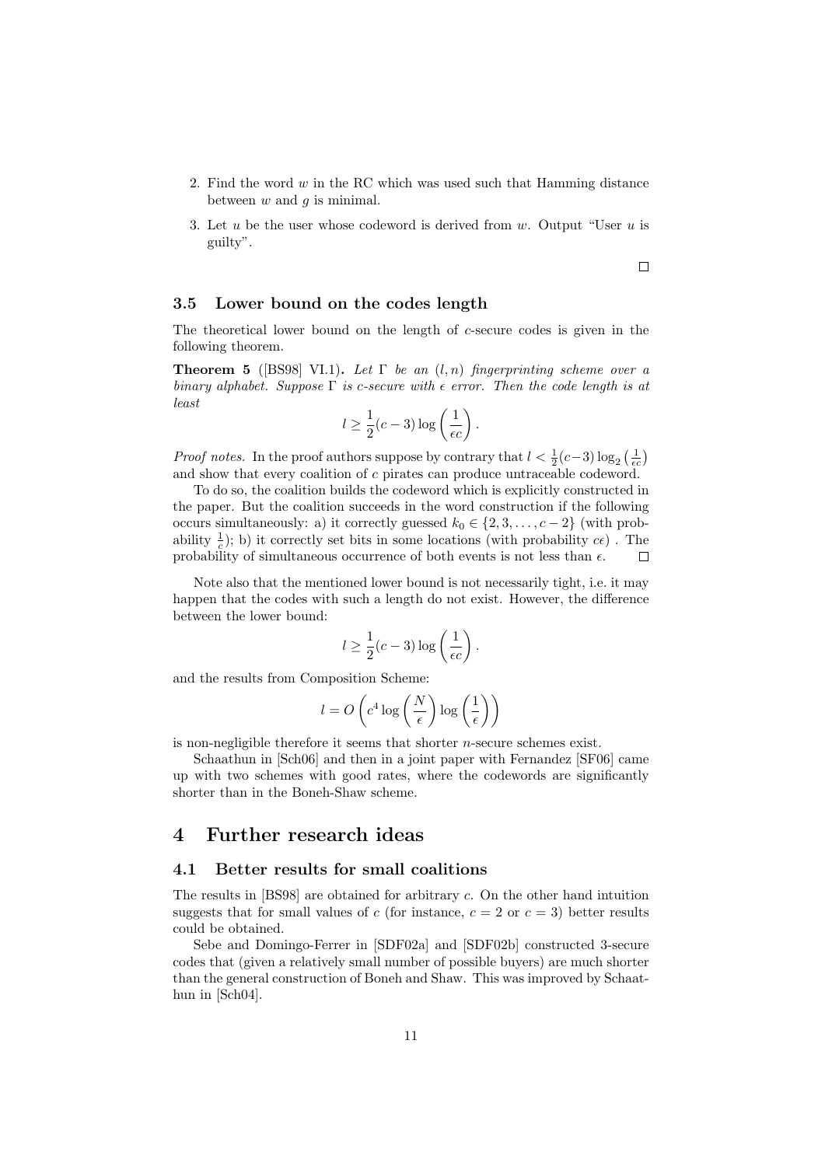- 2. Find the word  $w$  in the RC which was used such that Hamming distance between  $w$  and  $q$  is minimal.
- 3. Let u be the user whose codeword is derived from w. Output "User u is guilty".

#### <span id="page-10-0"></span>3.5 Lower bound on the codes length

The theoretical lower bound on the length of c-secure codes is given in the following theorem.

**Theorem 5** ([\[BS98\]](#page-11-0) VI.1). Let  $\Gamma$  be an  $(l, n)$  fingerprinting scheme over a binary alphabet. Suppose  $\Gamma$  is c-secure with  $\epsilon$  error. Then the code length is at least

$$
l \ge \frac{1}{2}(c-3)\log\left(\frac{1}{\epsilon c}\right).
$$

*Proof notes.* In the proof authors suppose by contrary that  $l < \frac{1}{2}(c-3)\log_2(\frac{1}{\epsilon c})$ and show that every coalition of c pirates can produce untraceable codeword.

To do so, the coalition builds the codeword which is explicitly constructed in the paper. But the coalition succeeds in the word construction if the following occurs simultaneously: a) it correctly guessed  $k_0 \in \{2, 3, \ldots, c-2\}$  (with probability  $\frac{1}{c}$ ); b) it correctly set bits in some locations (with probability  $c\epsilon$ ). The probability of simultaneous occurrence of both events is not less than  $\epsilon$ .  $\Box$ 

Note also that the mentioned lower bound is not necessarily tight, i.e. it may happen that the codes with such a length do not exist. However, the difference between the lower bound:

$$
l \ge \frac{1}{2}(c-3)\log\left(\frac{1}{\epsilon c}\right).
$$

and the results from Composition Scheme:

$$
l = O\left(c^4 \log\left(\frac{N}{\epsilon}\right) \log\left(\frac{1}{\epsilon}\right)\right)
$$

is non-negligible therefore it seems that shorter  $n$ -secure schemes exist.

Schaathun in [\[Sch06\]](#page-11-5) and then in a joint paper with Fernandez [\[SF06\]](#page-12-1) came up with two schemes with good rates, where the codewords are significantly shorter than in the Boneh-Shaw scheme.

## <span id="page-10-1"></span>4 Further research ideas

#### <span id="page-10-2"></span>4.1 Better results for small coalitions

The results in [\[BS98\]](#page-11-0) are obtained for arbitrary c. On the other hand intuition suggests that for small values of c (for instance,  $c = 2$  or  $c = 3$ ) better results could be obtained.

Sebe and Domingo-Ferrer in [\[SDF02a\]](#page-12-2) and [\[SDF02b\]](#page-12-3) constructed 3-secure codes that (given a relatively small number of possible buyers) are much shorter than the general construction of Boneh and Shaw. This was improved by Schaathun in [\[Sch04\]](#page-11-6).

 $\Box$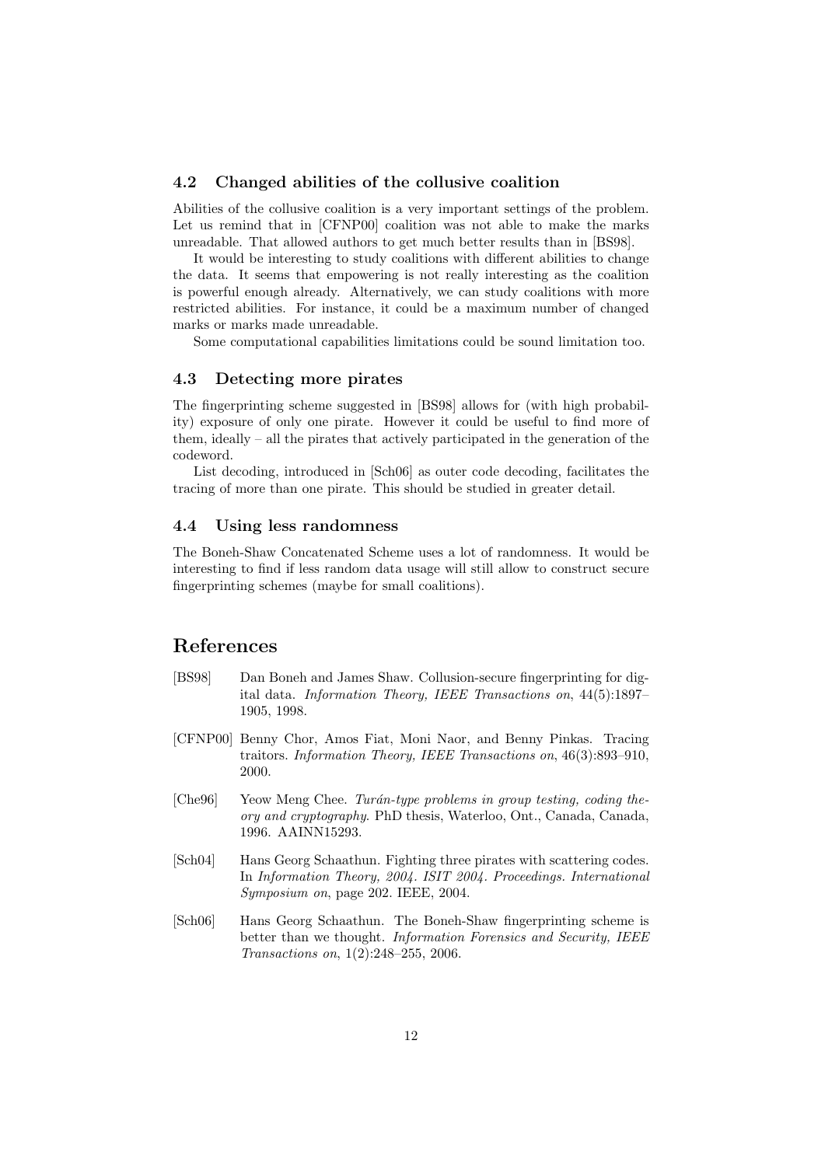#### <span id="page-11-1"></span>4.2 Changed abilities of the collusive coalition

Abilities of the collusive coalition is a very important settings of the problem. Let us remind that in [\[CFNP00\]](#page-11-7) coalition was not able to make the marks unreadable. That allowed authors to get much better results than in [\[BS98\]](#page-11-0).

It would be interesting to study coalitions with different abilities to change the data. It seems that empowering is not really interesting as the coalition is powerful enough already. Alternatively, we can study coalitions with more restricted abilities. For instance, it could be a maximum number of changed marks or marks made unreadable.

Some computational capabilities limitations could be sound limitation too.

## <span id="page-11-2"></span>4.3 Detecting more pirates

The fingerprinting scheme suggested in [\[BS98\]](#page-11-0) allows for (with high probability) exposure of only one pirate. However it could be useful to find more of them, ideally – all the pirates that actively participated in the generation of the codeword.

List decoding, introduced in [\[Sch06\]](#page-11-5) as outer code decoding, facilitates the tracing of more than one pirate. This should be studied in greater detail.

#### <span id="page-11-3"></span>4.4 Using less randomness

The Boneh-Shaw Concatenated Scheme uses a lot of randomness. It would be interesting to find if less random data usage will still allow to construct secure fingerprinting schemes (maybe for small coalitions).

## References

- <span id="page-11-0"></span>[BS98] Dan Boneh and James Shaw. Collusion-secure fingerprinting for digital data. Information Theory, IEEE Transactions on, 44(5):1897– 1905, 1998.
- <span id="page-11-7"></span>[CFNP00] Benny Chor, Amos Fiat, Moni Naor, and Benny Pinkas. Tracing traitors. Information Theory, IEEE Transactions on, 46(3):893–910, 2000.
- <span id="page-11-4"></span>[Che96] Yeow Meng Chee. Turán-type problems in group testing, coding theory and cryptography. PhD thesis, Waterloo, Ont., Canada, Canada, 1996. AAINN15293.
- <span id="page-11-6"></span>[Sch04] Hans Georg Schaathun. Fighting three pirates with scattering codes. In Information Theory, 2004. ISIT 2004. Proceedings. International Symposium on, page 202. IEEE, 2004.
- <span id="page-11-5"></span>[Sch06] Hans Georg Schaathun. The Boneh-Shaw fingerprinting scheme is better than we thought. *Information Forensics and Security*, IEEE Transactions on, 1(2):248–255, 2006.